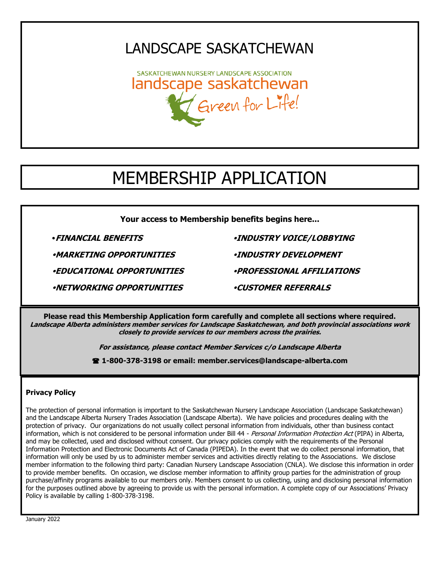## LANDSCAPE SASKATCHEWAN

SASKATCHEWAN NURSERY LANDSCAPE ASSOCIATION landscape saskatchewan Green for Life!

# MEMBERSHIP APPLICATION

**Your access to Membership benefits begins here...**

**MARKETING OPPORTUNITIES INDUSTRY DEVELOPMENT** 

**EDUCATIONAL OPPORTUNITIES PROFESSIONAL AFFILIATIONS**

**NETWORKING OPPORTUNITIES CUSTOMER REFERRALS**

**FINANCIAL BENEFITS INDUSTRY VOICE/LOBBYING**

**Please read this Membership Application form carefully and complete all sections where required. Landscape Alberta administers member services for Landscape Saskatchewan, and both provincial associations work closely to provide services to our members across the prairies.**

**For assistance, please contact Member Services c/o Landscape Alberta** 

**1-800-378-3198 or email: member.services@landscape-alberta.com**

#### **Privacy Policy**

The protection of personal information is important to the Saskatchewan Nursery Landscape Association (Landscape Saskatchewan) and the Landscape Alberta Nursery Trades Association (Landscape Alberta). We have policies and procedures dealing with the protection of privacy. Our organizations do not usually collect personal information from individuals, other than business contact information, which is not considered to be personal information under Bill 44 - Personal Information Protection Act (PIPA) in Alberta, and may be collected, used and disclosed without consent. Our privacy policies comply with the requirements of the Personal Information Protection and Electronic Documents Act of Canada (PIPEDA). In the event that we do collect personal information, that information will only be used by us to administer member services and activities directly relating to the Associations. We disclose member information to the following third party: Canadian Nursery Landscape Association (CNLA). We disclose this information in order to provide member benefits. On occasion, we disclose member information to affinity group parties for the administration of group purchase/affinity programs available to our members only. Members consent to us collecting, using and disclosing personal information for the purposes outlined above by agreeing to provide us with the personal information. A complete copy of our Associations' Privacy Policy is available by calling 1-800-378-3198.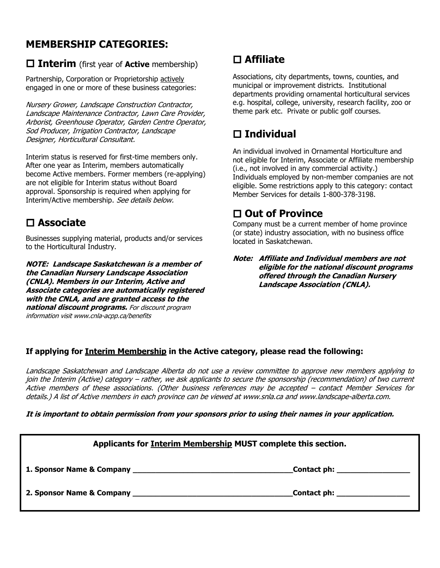### **MEMBERSHIP CATEGORIES:**

### **Interim** (first year of **Active** membership)

Partnership, Corporation or Proprietorship actively engaged in one or more of these business categories:

Nursery Grower, Landscape Construction Contractor, Landscape Maintenance Contractor, Lawn Care Provider, Arborist, Greenhouse Operator, Garden Centre Operator, Sod Producer, Irrigation Contractor, Landscape Designer, Horticultural Consultant.

Interim status is reserved for first-time members only. After one year as Interim, members automatically become Active members. Former members (re-applying) are not eligible for Interim status without Board approval. Sponsorship is required when applying for Interim/Active membership. See details below.

### **Associate**

Businesses supplying material, products and/or services to the Horticultural Industry.

**NOTE: Landscape Saskatchewan is a member of the Canadian Nursery Landscape Association (CNLA). Members in our Interim, Active and Associate categories are automatically registered with the CNLA, and are granted access to the national discount programs.** For discount program information visit www.cnla-acpp.ca/benefits

## **Affiliate**

Associations, city departments, towns, counties, and municipal or improvement districts. Institutional departments providing ornamental horticultural services e.g. hospital, college, university, research facility, zoo or theme park etc. Private or public golf courses.

### **Individual**

An individual involved in Ornamental Horticulture and not eligible for Interim, Associate or Affiliate membership (i.e., not involved in any commercial activity.) Individuals employed by non-member companies are not eligible. Some restrictions apply to this category: contact Member Services for details 1-800-378-3198.

### **Out of Province**

Company must be a current member of home province (or state) industry association, with no business office located in Saskatchewan.

**Note: Affiliate and Individual members are not eligible for the national discount programs offered through the Canadian Nursery Landscape Association (CNLA).**

### **If applying for Interim Membership in the Active category, please read the following:**

Landscape Saskatchewan and Landscape Alberta do not use a review committee to approve new members applying to join the Interim (Active) category – rather, we ask applicants to secure the sponsorship (recommendation) of two current Active members of these associations. (Other business references may be accepted – contact Member Services for details.) A list of Active members in each province can be viewed at www.snla.ca and www.landscape-alberta.com.

#### **It is important to obtain permission from your sponsors prior to using their names in your application.**

| Applicants for Interim Membership MUST complete this section. |  |
|---------------------------------------------------------------|--|
| _Contact ph: ___________________                              |  |
| <b>Contact ph:</b> The contact philosophy                     |  |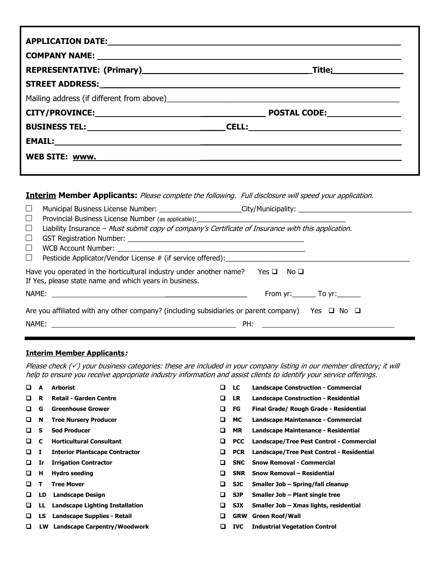#### **Interim Member Applicants:** Please complete the following. Full disclosure will speed your application.

| $\Box$ | Municipal Business License Number: ______________________City/Municipality: _______________________                           |                              |
|--------|-------------------------------------------------------------------------------------------------------------------------------|------------------------------|
| $\Box$ |                                                                                                                               |                              |
| $\Box$ | Liability Insurance - Must submit copy of company's Certificate of Insurance with this application.                           |                              |
| $\Box$ |                                                                                                                               |                              |
| $\Box$ |                                                                                                                               |                              |
| $\Box$ | Pesticide Applicator/Vendor License # (if service offered):                                                                   |                              |
|        | Have you operated in the horticultural industry under another name?<br>If Yes, please state name and which years in business. | Yes □ No □                   |
|        |                                                                                                                               | From $yr:$ To $yr:$ To $yr:$ |
|        | Are you affiliated with any other company? (including subsidiaries or parent company) Yes $\Box$ No $\Box$                    |                              |
|        |                                                                                                                               |                              |
|        |                                                                                                                               |                              |

#### **Interim Member Applicants:**

Please check (√) your business categories: these are included in your company listing in our member directory; it will help to ensure you receive appropriate industry information and assist clients to identify your service offerings.

- 
- 
- 
- 
- 
- 
- 
- 
- 
- 
- 
- 
- ❑ **LS Landscape Supplies - Retail** ❑ **GRW Green Roof/Wall**
- ❑ **LW Landscape Carpentry/Woodwork** ❑ **IVC Industrial Vegetation Control**
- ❑ **A Arborist** ❑ **LC Landscape Construction - Commercial**
- ❑ **R Retail - Garden Centre** ❑ **LR Landscape Construction - Residential**
- ❑ **G Greenhouse Grower** ❑ **FG Final Grade/ Rough Grade - Residential**
- ❑ **N Tree Nursery Producer** ❑ **MC Landscape Maintenance - Commercial**
- ❑ **S Sod Producer** ❑ **MR Landscape Maintenance - Residential**
- ❑ **C Horticultural Consultant** ❑ **PCC Landscape/Tree Pest Control - Commercial**
- ❑ **I Interior Plantscape Contractor** ❑ **PCR Landscape/Tree Pest Control - Residential**
- ❑ **Ir Irrigation Contractor** ❑ **SNC Snow Removal - Commercial**
- ❑ **H Hydro seeding** ❑ **SNR Snow Removal – Residential**
- ❑ **T Tree Mover** ❑ **SJC Smaller Job – Spring/fall cleanup**
- ❑ **LD Landscape Design** ❑ **SJP Smaller Job – Plant single tree**
- ❑ **LL Landscape Lighting Installation** ❑ **SJX Smaller Job – Xmas lights, residential** 
	-
	-